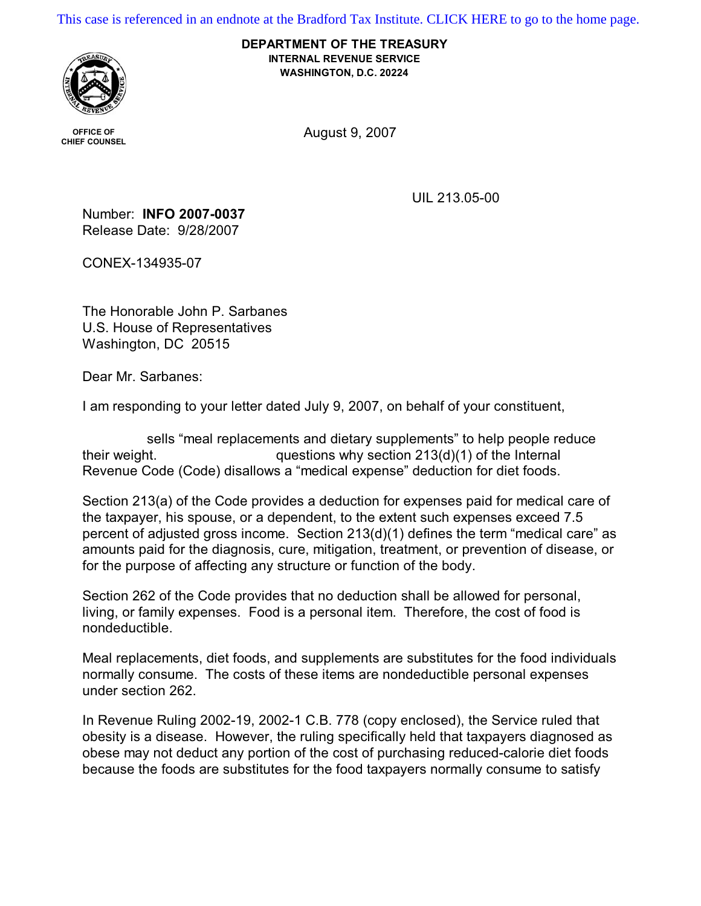[This case is referenced in an endnote at the Bradford Tax Institute. CLICK HERE to go to the home page.](http://www.bradfordtaxinstitute.com/)

**DEPARTMENT OF THE TREASURY INTERNAL REVENUE SERVICE WASHINGTON, D.C. 20224**



**OFFICE OF** 

OFFICE OF **CHIEF COUNSEL** COUNSEL **COUNSEL** 

UIL 213.05-00

Number: **INFO 2007-0037**  Release Date: 9/28/2007

CONEX-134935-07

The Honorable John P. Sarbanes U.S. House of Representatives Washington, DC 20515

Dear Mr. Sarbanes:

I am responding to your letter dated July 9, 2007, on behalf of your constituent,

sells "meal replacements and dietary supplements" to help people reduce their weight.  $questions why section 213(d)(1) of the Internal$ Revenue Code (Code) disallows a "medical expense" deduction for diet foods.

Section 213(a) of the Code provides a deduction for expenses paid for medical care of the taxpayer, his spouse, or a dependent, to the extent such expenses exceed 7.5 percent of adjusted gross income. Section 213(d)(1) defines the term "medical care" as amounts paid for the diagnosis, cure, mitigation, treatment, or prevention of disease, or for the purpose of affecting any structure or function of the body.

Section 262 of the Code provides that no deduction shall be allowed for personal, living, or family expenses. Food is a personal item. Therefore, the cost of food is nondeductible.

Meal replacements, diet foods, and supplements are substitutes for the food individuals normally consume. The costs of these items are nondeductible personal expenses under section 262.

In Revenue Ruling 2002-19, 2002-1 C.B. 778 (copy enclosed), the Service ruled that obesity is a disease. However, the ruling specifically held that taxpayers diagnosed as obese may not deduct any portion of the cost of purchasing reduced-calorie diet foods because the foods are substitutes for the food taxpayers normally consume to satisfy